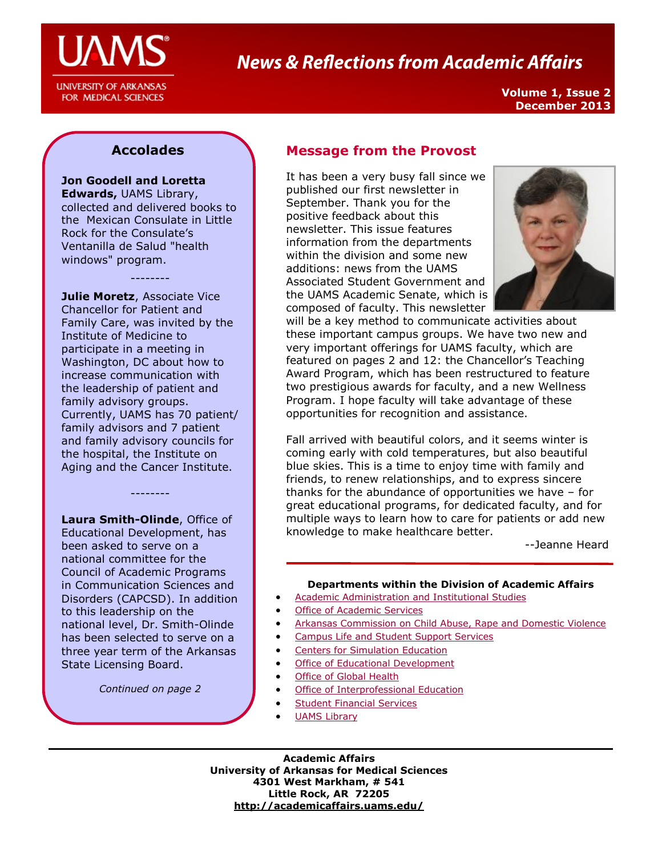

**UNIVERSITY OF ARKANSAS** FOR MEDICAL SCIENCES

# **News & Reflections from Academic Affairs**

**Volume 1, Issue 2 December 2013**

## **Accolades**

**Jon Goodell and Loretta Edwards,** UAMS Library, collected and delivered books to the Mexican Consulate in Little Rock for the Consulate's Ventanilla de Salud "health windows" program.

--------

**Julie Moretz**, Associate Vice Chancellor for Patient and Family Care, was invited by the Institute of Medicine to participate in a meeting in Washington, DC about how to increase communication with the leadership of patient and family advisory groups. Currently, UAMS has 70 patient/ family advisors and 7 patient and family advisory councils for the hospital, the Institute on Aging and the Cancer Institute.

**Laura Smith-Olinde**, Office of Educational Development, has been asked to serve on a national committee for the Council of Academic Programs in Communication Sciences and Disorders (CAPCSD). In addition to this leadership on the national level, Dr. Smith-Olinde has been selected to serve on a three year term of the Arkansas State Licensing Board.

--------

*Continued on page 2*

## **Message from the Provost**

It has been a very busy fall since we published our first newsletter in September. Thank you for the positive feedback about this newsletter. This issue features information from the departments within the division and some new additions: news from the UAMS Associated Student Government and the UAMS Academic Senate, which is composed of faculty. This newsletter



will be a key method to communicate activities about these important campus groups. We have two new and very important offerings for UAMS faculty, which are featured on pages 2 and 12: the Chancellor's Teaching Award Program, which has been restructured to feature two prestigious awards for faculty, and a new Wellness Program. I hope faculty will take advantage of these opportunities for recognition and assistance.

Fall arrived with beautiful colors, and it seems winter is coming early with cold temperatures, but also beautiful blue skies. This is a time to enjoy time with family and friends, to renew relationships, and to express sincere thanks for the abundance of opportunities we have – for great educational programs, for dedicated faculty, and for multiple ways to learn how to care for patients or add new knowledge to make healthcare better.

--Jeanne Heard

#### **Departments within the Division of Academic Affairs**

- [Academic Administration and Institutional Studies](http://academicaffairs.uams.edu/academic-support-and-services/institutional-studies/)
- [Office of Academic Services](http://oas.uams.edu/)
- **[Arkansas Commission on Child Abuse, Rape and Domestic Violence](http://accardv.uams.edu/)**
- **[Campus Life and Student Support Services](http://studentlife.uams.edu/)**
- **•** [Centers for Simulation Education](http://medicalsim.uams.edu/)
- [Office of Educational Development](http://www.uams.edu/oed/)
- [Office of Global Health](http://ogh.uams.edu/)
- [Office of Interprofessional Education](http://ipe.uams.edu/)
- [Student Financial Services](http://studentfinancialservices.uams.edu/)
- [UAMS Library](http://library.uams.edu/)

**Academic Affairs University of Arkansas for Medical Sciences 4301 West Markham, # 541 Little Rock, AR 72205 <http://academicaffairs.uams.edu/>**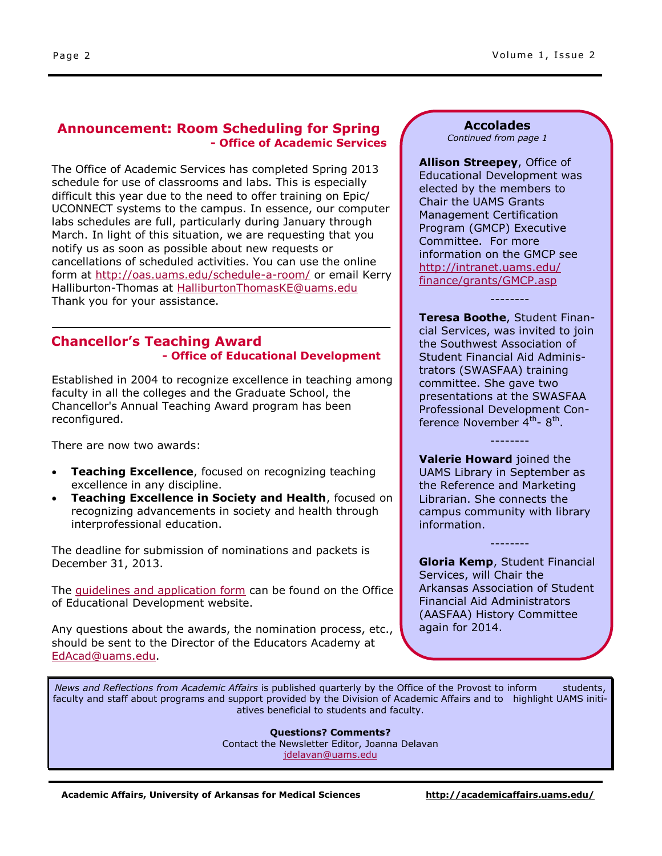## **Announcement: Room Scheduling for Spring - Office of Academic Services**

The Office of Academic Services has completed Spring 2013 schedule for use of classrooms and labs. This is especially difficult this year due to the need to offer training on Epic/ UCONNECT systems to the campus. In essence, our computer labs schedules are full, particularly during January through March. In light of this situation, we are requesting that you notify us as soon as possible about new requests or cancellations of scheduled activities. You can use the online form at<http://oas.uams.edu/schedule-a-room/> or email Kerry Halliburton-Thomas at [HalliburtonThomasKE@uams.edu](mailto:HalliburtonThomasKE@uams.edu) Thank you for your assistance.

## **Chancellor's Teaching Award - Office of Educational Development**

Established in 2004 to recognize excellence in teaching among faculty in all the colleges and the Graduate School, the Chancellor's Annual Teaching Award program has been reconfigured.

There are now two awards:

- **Teaching Excellence**, focused on recognizing teaching excellence in any discipline.
- **Teaching Excellence in Society and Health**, focused on recognizing advancements in society and health through interprofessional education.

The deadline for submission of nominations and packets is December 31, 2013.

The [guidelines and application form](http://www.uams.edu/oed/Chancellors%20Annual%20Teaching%20Award%20Program%20Guidelines%202013%20FINAL.pdf) can be found on the Office of Educational Development website.

Any questions about the awards, the nomination process, etc., should be sent to the Director of the Educators Academy at [EdAcad@uams.edu.](mailto:EdAcad@uams.edu)

**Accolades**  *Continued from page 1*

**Allison Streepey**, Office of Educational Development was elected by the members to Chair the UAMS Grants Management Certification Program (GMCP) Executive Committee. For more information on the GMCP see [http://intranet.uams.edu/](http://intranet.uams.edu/finance/grants/GMCP.asp) [finance/grants/GMCP.asp](http://intranet.uams.edu/finance/grants/GMCP.asp)

**Teresa Boothe**, Student Financial Services, was invited to join the Southwest Association of Student Financial Aid Administrators (SWASFAA) training committee. She gave two presentations at the SWASFAA Professional Development Conference November 4<sup>th</sup>- 8<sup>th</sup>.

**Valerie Howard** joined the UAMS Library in September as the Reference and Marketing Librarian. She connects the campus community with library information.

--------

**Gloria Kemp**, Student Financial Services, will Chair the Arkansas Association of Student Financial Aid Administrators (AASFAA) History Committee again for 2014.

--------

*News and Reflections from Academic Affairs* is published quarterly by the Office of the Provost to inform students, faculty and staff about programs and support provided by the Division of Academic Affairs and to highlight UAMS initiatives beneficial to students and faculty.

> **Questions? Comments?** Contact the Newsletter Editor, Joanna Delavan [jdelavan@uams.edu](mailto:jdelavan@uams.edu)

**Academic Affairs, University of Arkansas for Medical Sciences <http://academicaffairs.uams.edu/>**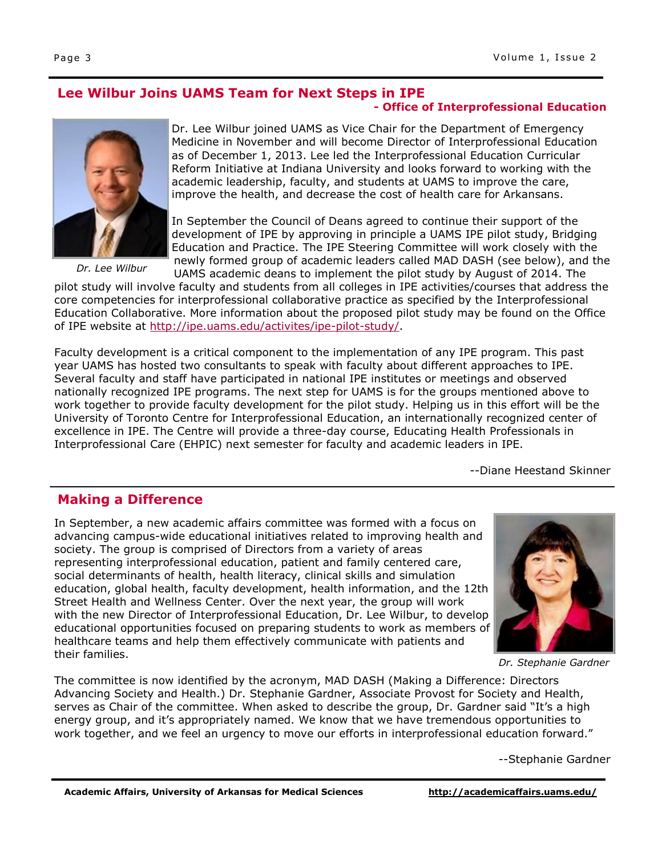## **Lee Wilbur Joins UAMS Team for Next Steps in IPE**

#### **- Office of Interprofessional Education**



*Dr. Lee Wilbur*

Dr. Lee Wilbur joined UAMS as Vice Chair for the Department of Emergency Medicine in November and will become Director of Interprofessional Education as of December 1, 2013. Lee led the Interprofessional Education Curricular Reform Initiative at Indiana University and looks forward to working with the academic leadership, faculty, and students at UAMS to improve the care, improve the health, and decrease the cost of health care for Arkansans.

In September the Council of Deans agreed to continue their support of the development of IPE by approving in principle a UAMS IPE pilot study, Bridging Education and Practice. The IPE Steering Committee will work closely with the newly formed group of academic leaders called MAD DASH (see below), and the UAMS academic deans to implement the pilot study by August of 2014. The

pilot study will involve faculty and students from all colleges in IPE activities/courses that address the core competencies for interprofessional collaborative practice as specified by the Interprofessional Education Collaborative. More information about the proposed pilot study may be found on the Office of IPE website at [http://ipe.uams.edu/activites/ipe-pilot-study/.](http://ipe.uams.edu/activites/ipe-pilot-study/)

Faculty development is a critical component to the implementation of any IPE program. This past year UAMS has hosted two consultants to speak with faculty about different approaches to IPE. Several faculty and staff have participated in national IPE institutes or meetings and observed nationally recognized IPE programs. The next step for UAMS is for the groups mentioned above to work together to provide faculty development for the pilot study. Helping us in this effort will be the University of Toronto Centre for Interprofessional Education, an internationally recognized center of excellence in IPE. The Centre will provide a three-day course, Educating Health Professionals in Interprofessional Care (EHPIC) next semester for faculty and academic leaders in IPE.

--Diane Heestand Skinner

## **Making a Difference**

In September, a new academic affairs committee was formed with a focus on advancing campus-wide educational initiatives related to improving health and society. The group is comprised of Directors from a variety of areas representing interprofessional education, patient and family centered care, social determinants of health, health literacy, clinical skills and simulation education, global health, faculty development, health information, and the 12th Street Health and Wellness Center. Over the next year, the group will work with the new Director of Interprofessional Education, Dr. Lee Wilbur, to develop educational opportunities focused on preparing students to work as members of healthcare teams and help them effectively communicate with patients and their families.



*Dr. Stephanie Gardner*

The committee is now identified by the acronym, MAD DASH (Making a Difference: Directors Advancing Society and Health.) Dr. Stephanie Gardner, Associate Provost for Society and Health, serves as Chair of the committee. When asked to describe the group, Dr. Gardner said "It's a high energy group, and it's appropriately named. We know that we have tremendous opportunities to work together, and we feel an urgency to move our efforts in interprofessional education forward."

--Stephanie Gardner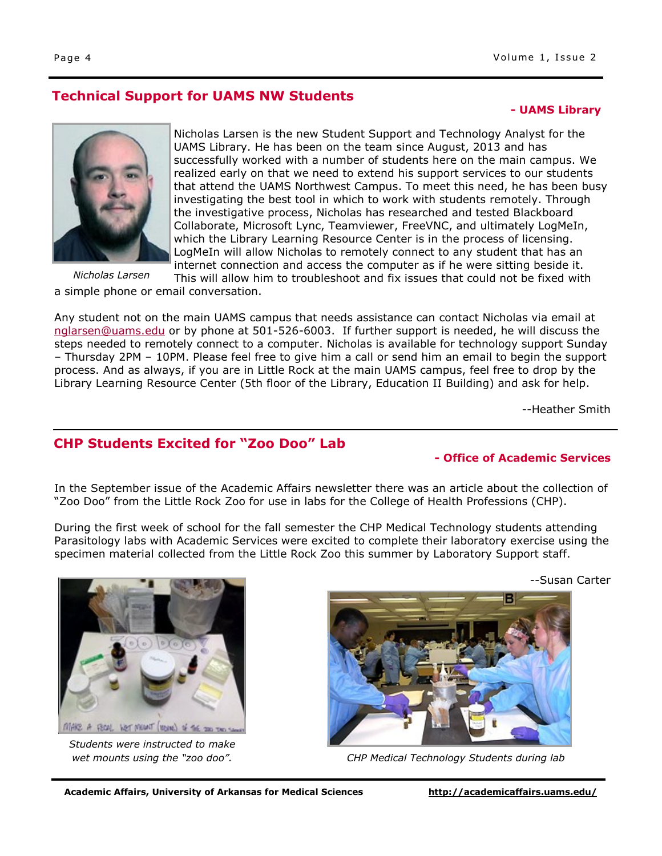## **Technical Support for UAMS NW Students**

#### **- UAMS Library**



Nicholas Larsen is the new Student Support and Technology Analyst for the UAMS Library. He has been on the team since August, 2013 and has successfully worked with a number of students here on the main campus. We realized early on that we need to extend his support services to our students that attend the UAMS Northwest Campus. To meet this need, he has been busy investigating the best tool in which to work with students remotely. Through the investigative process, Nicholas has researched and tested Blackboard Collaborate, Microsoft Lync, Teamviewer, FreeVNC, and ultimately LogMeIn, which the Library Learning Resource Center is in the process of licensing. LogMeIn will allow Nicholas to remotely connect to any student that has an internet connection and access the computer as if he were sitting beside it.

This will allow him to troubleshoot and fix issues that could not be fixed with a simple phone or email conversation. *Nicholas Larsen*

Any student not on the main UAMS campus that needs assistance can contact Nicholas via email at [nglarsen@uams.edu](mailto:nglarsen@uams.edu) or by phone at 501-526-6003. If further support is needed, he will discuss the steps needed to remotely connect to a computer. Nicholas is available for technology support Sunday – Thursday 2PM – 10PM. Please feel free to give him a call or send him an email to begin the support process. And as always, if you are in Little Rock at the main UAMS campus, feel free to drop by the Library Learning Resource Center (5th floor of the Library, Education II Building) and ask for help.

--Heather Smith

## **CHP Students Excited for "Zoo Doo" Lab**

#### **- Office of Academic Services**

In the September issue of the Academic Affairs newsletter there was an article about the collection of "Zoo Doo" from the Little Rock Zoo for use in labs for the College of Health Professions (CHP).

During the first week of school for the fall semester the CHP Medical Technology students attending Parasitology labs with Academic Services were excited to complete their laboratory exercise using the specimen material collected from the Little Rock Zoo this summer by Laboratory Support staff.



*Students were instructed to make wet mounts using the "zoo doo".*



*CHP Medical Technology Students during lab*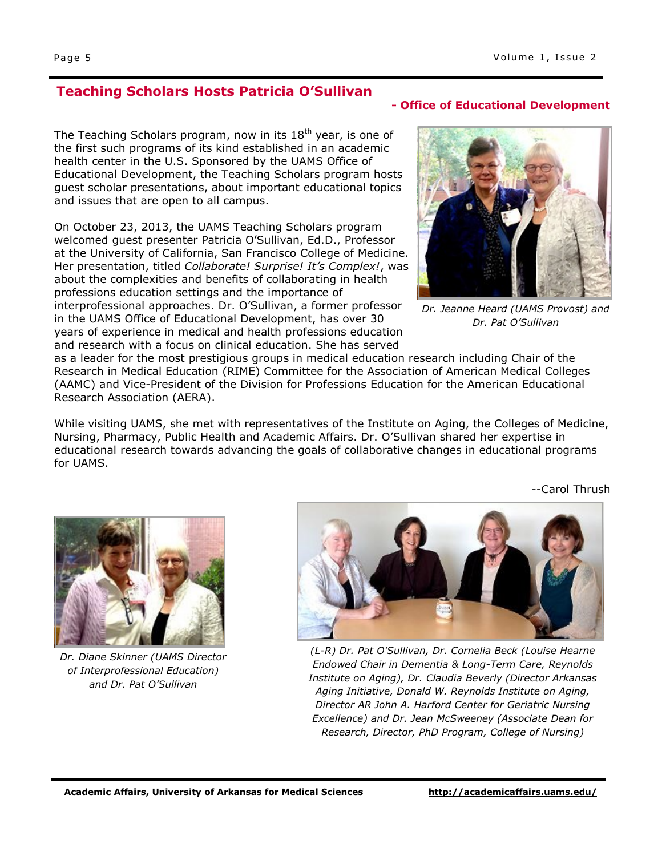## **Teaching Scholars Hosts Patricia O'Sullivan**

The Teaching Scholars program, now in its  $18<sup>th</sup>$  year, is one of the first such programs of its kind established in an academic health center in the U.S. Sponsored by the UAMS Office of Educational Development, the Teaching Scholars program hosts guest scholar presentations, about important educational topics and issues that are open to all campus.

On October 23, 2013, the UAMS Teaching Scholars program welcomed guest presenter Patricia O'Sullivan, Ed.D., Professor at the University of California, San Francisco College of Medicine. Her presentation, titled *Collaborate! Surprise! It's Complex!*, was about the complexities and benefits of collaborating in health professions education settings and the importance of interprofessional approaches. Dr. O'Sullivan, a former professor in the UAMS Office of Educational Development, has over 30 years of experience in medical and health professions education and research with a focus on clinical education. She has served

#### **- Office of Educational Development**



*Dr. Jeanne Heard (UAMS Provost) and Dr. Pat O'Sullivan*

as a leader for the most prestigious groups in medical education research including Chair of the Research in Medical Education (RIME) Committee for the Association of American Medical Colleges (AAMC) and Vice-President of the Division for Professions Education for the American Educational Research Association (AERA).

While visiting UAMS, she met with representatives of the Institute on Aging, the Colleges of Medicine, Nursing, Pharmacy, Public Health and Academic Affairs. Dr. O'Sullivan shared her expertise in educational research towards advancing the goals of collaborative changes in educational programs for UAMS.

--Carol Thrush



*Dr. Diane Skinner (UAMS Director of Interprofessional Education) and Dr. Pat O'Sullivan*



*(L-R) Dr. Pat O'Sullivan, Dr. Cornelia Beck (Louise Hearne Endowed Chair in Dementia & Long-Term Care, Reynolds Institute on Aging), Dr. Claudia Beverly (Director Arkansas Aging Initiative, Donald W. Reynolds Institute on Aging, Director AR John A. Harford Center for Geriatric Nursing Excellence) and Dr. Jean McSweeney (Associate Dean for Research, Director, PhD Program, College of Nursing)*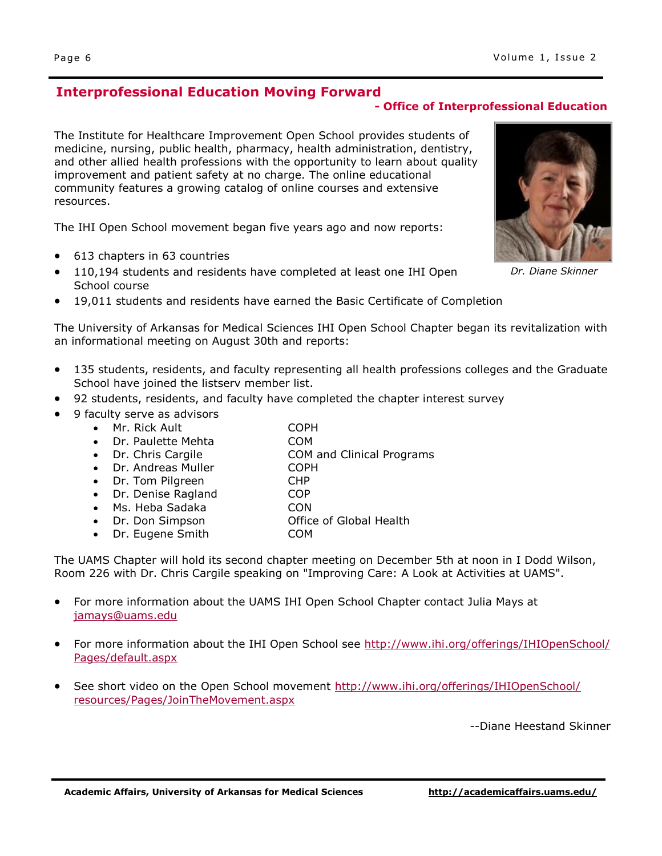## **Interprofessional Education Moving Forward**

#### **- Office of Interprofessional Education**

The Institute for Healthcare Improvement Open School provides students of medicine, nursing, public health, pharmacy, health administration, dentistry, and other allied health professions with the opportunity to learn about quality improvement and patient safety at no charge. The online educational community features a growing catalog of online courses and extensive resources.

The IHI Open School movement began five years ago and now reports:

- 613 chapters in 63 countries
- 110,194 students and residents have completed at least one IHI Open School course
- 19,011 students and residents have earned the Basic Certificate of Completion

The University of Arkansas for Medical Sciences IHI Open School Chapter began its revitalization with an informational meeting on August 30th and reports:

- 135 students, residents, and faculty representing all health professions colleges and the Graduate School have joined the listserv member list.
- 92 students, residents, and faculty have completed the chapter interest survey
- 9 faculty serve as advisors
	- Mr. Rick Ault **COPH**
	- Dr. Paulette Mehta COM
	- Dr. Chris Cargile COM and Clinical Programs
	- Dr. Andreas Muller COPH
	- Dr. Tom Pilgreen CHP
	- Dr. Denise Ragland COP
	- Ms. Heba Sadaka **CON**
	- Dr. Don Simpson Office of Global Health
	- Dr. Eugene Smith COM

The UAMS Chapter will hold its second chapter meeting on December 5th at noon in I Dodd Wilson, Room 226 with Dr. Chris Cargile speaking on "Improving Care: A Look at Activities at UAMS".

- For more information about the UAMS IHI Open School Chapter contact Julia Mays at [jamays@uams.edu](mailto:jamays@uams.edu)
- For more information about the IHI Open School see [http://www.ihi.org/offerings/IHIOpenSchool/](http://www.ihi.org/offerings/IHIOpenSchool/Pages/default.aspx) [Pages/default.aspx](http://www.ihi.org/offerings/IHIOpenSchool/Pages/default.aspx)
- See short video on the Open School movement [http://www.ihi.org/offerings/IHIOpenSchool/](http://www.ihi.org/offerings/IHIOpenSchool/resources/Pages/JoinTheMovement.aspx) [resources/Pages/JoinTheMovement.aspx](http://www.ihi.org/offerings/IHIOpenSchool/resources/Pages/JoinTheMovement.aspx)

--Diane Heestand Skinner

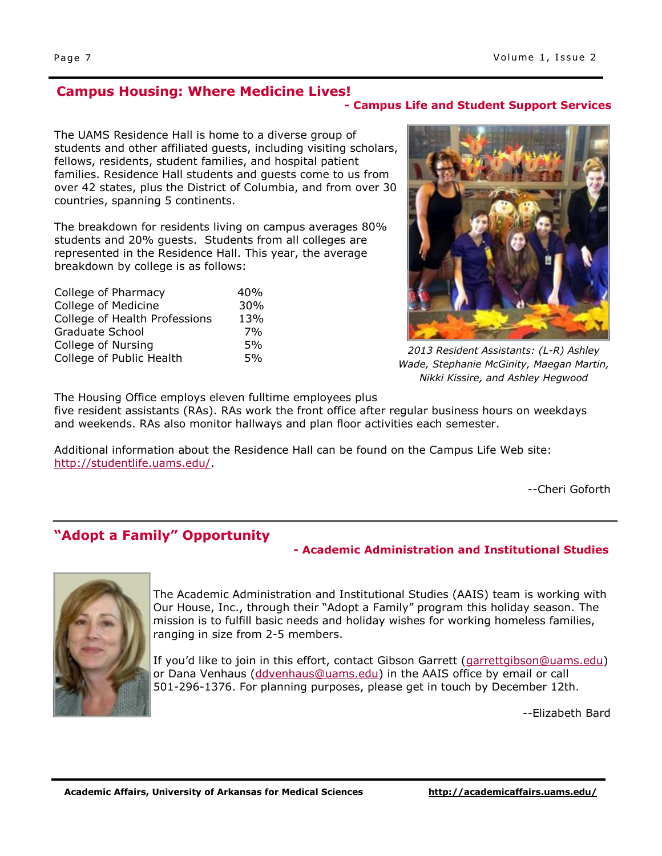## **Campus Housing: Where Medicine Lives!**

#### **- Campus Life and Student Support Services**

The UAMS Residence Hall is home to a diverse group of students and other affiliated guests, including visiting scholars, fellows, residents, student families, and hospital patient families. Residence Hall students and guests come to us from over 42 states, plus the District of Columbia, and from over 30 countries, spanning 5 continents.

The breakdown for residents living on campus averages 80% students and 20% guests. Students from all colleges are represented in the Residence Hall. This year, the average breakdown by college is as follows:

| College of Pharmacy           | 40% |
|-------------------------------|-----|
| College of Medicine           | 30% |
| College of Health Professions | 13% |
| Graduate School               | 7%  |
| College of Nursing            | 5%  |
| College of Public Health      | 5%  |



*2013 Resident Assistants: (L-R) Ashley Wade, Stephanie McGinity, Maegan Martin, Nikki Kissire, and Ashley Hegwood*

The Housing Office employs eleven fulltime employees plus

five resident assistants (RAs). RAs work the front office after regular business hours on weekdays and weekends. RAs also monitor hallways and plan floor activities each semester.

Additional information about the Residence Hall can be found on the Campus Life Web site: [http://studentlife.uams.edu/.](http://studentlife.uams.edu/)

--Cheri Goforth

## **"Adopt a Family" Opportunity**

#### **- Academic Administration and Institutional Studies**



The Academic Administration and Institutional Studies (AAIS) team is working with Our House, Inc., through their "Adopt a Family" program this holiday season. The mission is to fulfill basic needs and holiday wishes for working homeless families, ranging in size from 2-5 members.

If you'd like to join in this effort, contact Gibson Garrett (garrettgibson@uams.edu) or Dana Venhaus [\(ddvenhaus@uams.edu\)](mailto:ddvenhouse@uams.edu) in the AAIS office by email or call 501-296-1376. For planning purposes, please get in touch by December 12th.

--Elizabeth Bard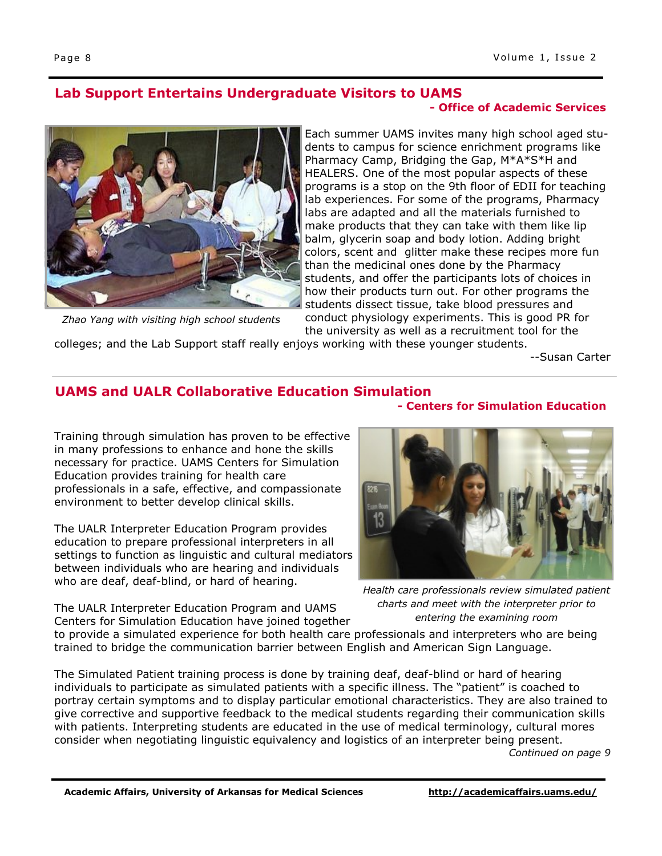#### **Lab Support Entertains Undergraduate Visitors to UAMS - Office of Academic Services**



colleges; and the Lab Support staff really enjoys working with these younger students.

--Susan Carter

## **UAMS and UALR Collaborative Education Simulation**

#### **- Centers for Simulation Education**

Training through simulation has proven to be effective in many professions to enhance and hone the skills necessary for practice. UAMS Centers for Simulation Education provides training for health care professionals in a safe, effective, and compassionate environment to better develop clinical skills.

The UALR Interpreter Education Program provides education to prepare professional interpreters in all settings to function as linguistic and cultural mediators between individuals who are hearing and individuals who are deaf, deaf-blind, or hard of hearing.

The UALR Interpreter Education Program and UAMS

*Health care professionals review simulated patient charts and meet with the interpreter prior to entering the examining room*

Centers for Simulation Education have joined together to provide a simulated experience for both health care professionals and interpreters who are being trained to bridge the communication barrier between English and American Sign Language.

The Simulated Patient training process is done by training deaf, deaf-blind or hard of hearing individuals to participate as simulated patients with a specific illness. The "patient" is coached to portray certain symptoms and to display particular emotional characteristics. They are also trained to give corrective and supportive feedback to the medical students regarding their communication skills with patients. Interpreting students are educated in the use of medical terminology, cultural mores consider when negotiating linguistic equivalency and logistics of an interpreter being present. *Continued on page 9*

*Zhao Yang with visiting high school students*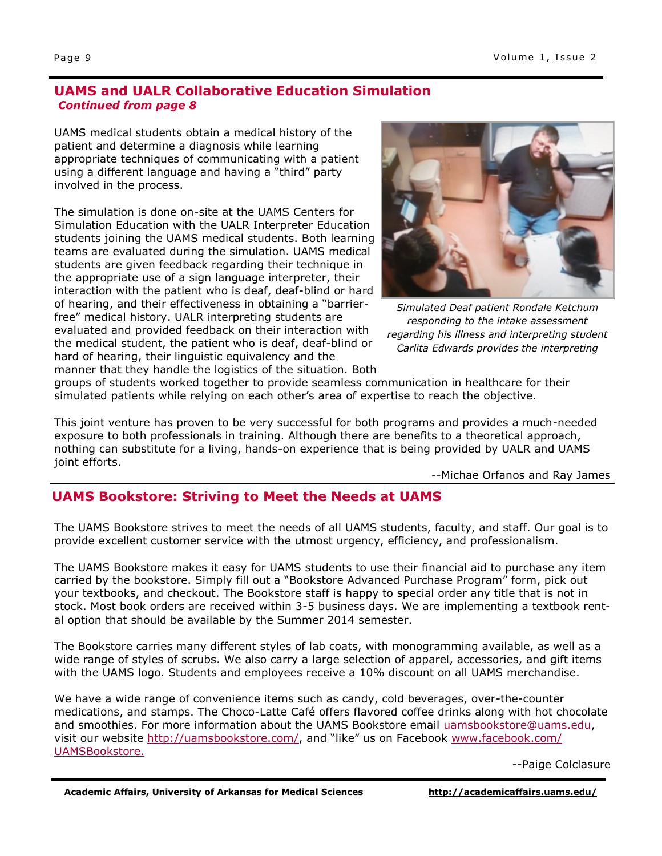## **UAMS and UALR Collaborative Education Simulation** *Continued from page 8*

UAMS medical students obtain a medical history of the patient and determine a diagnosis while learning appropriate techniques of communicating with a patient using a different language and having a "third" party involved in the process.

The simulation is done on-site at the UAMS Centers for Simulation Education with the UALR Interpreter Education students joining the UAMS medical students. Both learning teams are evaluated during the simulation. UAMS medical students are given feedback regarding their technique in the appropriate use of a sign language interpreter, their interaction with the patient who is deaf, deaf-blind or hard of hearing, and their effectiveness in obtaining a "barrierfree" medical history. UALR interpreting students are evaluated and provided feedback on their interaction with the medical student, the patient who is deaf, deaf-blind or hard of hearing, their linguistic equivalency and the manner that they handle the logistics of the situation. Both



*Simulated Deaf patient Rondale Ketchum responding to the intake assessment regarding his illness and interpreting student Carlita Edwards provides the interpreting* 

groups of students worked together to provide seamless communication in healthcare for their simulated patients while relying on each other's area of expertise to reach the objective.

This joint venture has proven to be very successful for both programs and provides a much-needed exposure to both professionals in training. Although there are benefits to a theoretical approach, nothing can substitute for a living, hands-on experience that is being provided by UALR and UAMS joint efforts.

--Michae Orfanos and Ray James

## **UAMS Bookstore: Striving to Meet the Needs at UAMS**

The UAMS Bookstore strives to meet the needs of all UAMS students, faculty, and staff. Our goal is to provide excellent customer service with the utmost urgency, efficiency, and professionalism.

The UAMS Bookstore makes it easy for UAMS students to use their financial aid to purchase any item carried by the bookstore. Simply fill out a "Bookstore Advanced Purchase Program" form, pick out your textbooks, and checkout. The Bookstore staff is happy to special order any title that is not in stock. Most book orders are received within 3-5 business days. We are implementing a textbook rental option that should be available by the Summer 2014 semester.

The Bookstore carries many different styles of lab coats, with monogramming available, as well as a wide range of styles of scrubs. We also carry a large selection of apparel, accessories, and gift items with the UAMS logo. Students and employees receive a 10% discount on all UAMS merchandise.

We have a wide range of convenience items such as candy, cold beverages, over-the-counter medications, and stamps. The Choco-Latte Café offers flavored coffee drinks along with hot chocolate and smoothies. For more information about the UAMS Bookstore email uamsbookstore@uams.edu, visit our website<http://uamsbookstore.com/>, and "like" us on Facebook [www.facebook.com/](https://www.facebook.com/UAMSBookstore) [UAMSBookstore.](https://www.facebook.com/UAMSBookstore)

--Paige Colclasure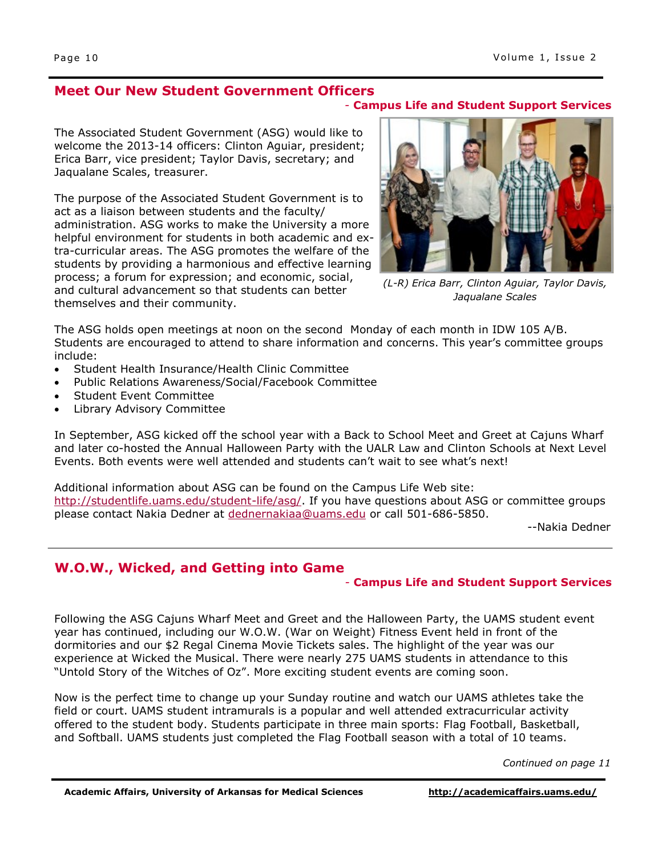## **Meet Our New Student Government Officers**

The Associated Student Government (ASG) would like to welcome the 2013-14 officers: Clinton Aguiar, president; Erica Barr, vice president; Taylor Davis, secretary; and Jaqualane Scales, treasurer.

The purpose of the Associated Student Government is to act as a liaison between students and the faculty/ administration. ASG works to make the University a more helpful environment for students in both academic and extra-curricular areas. The ASG promotes the welfare of the students by providing a harmonious and effective learning process; a forum for expression; and economic, social, and cultural advancement so that students can better themselves and their community.

#### *-* **Campus Life and Student Support Services**



*(L-R) Erica Barr, Clinton Aguiar, Taylor Davis, Jaqualane Scales*

The ASG holds open meetings at noon on the second Monday of each month in IDW 105 A/B. Students are encouraged to attend to share information and concerns. This year's committee groups include:

- Student Health Insurance/Health Clinic Committee
- Public Relations Awareness/Social/Facebook Committee
- Student Event Committee
- Library Advisory Committee

In September, ASG kicked off the school year with a Back to School Meet and Greet at Cajuns Wharf and later co-hosted the Annual Halloween Party with the UALR Law and Clinton Schools at Next Level Events. Both events were well attended and students can't wait to see what's next!

Additional information about ASG can be found on the Campus Life Web site: [http://studentlife.uams.edu/student-life/asg/.](http://studentlife.uams.edu/student-life/asg/) If you have questions about ASG or committee groups please contact Nakia Dedner at [dednernakiaa@uams.edu](mailto:dednernakiaa@uams.edu) or call 501-686-5850.

--Nakia Dedner

## **W.O.W., Wicked, and Getting into Game**

#### *-* **Campus Life and Student Support Services**

Following the ASG Cajuns Wharf Meet and Greet and the Halloween Party, the UAMS student event year has continued, including our W.O.W. (War on Weight) Fitness Event held in front of the dormitories and our \$2 Regal Cinema Movie Tickets sales. The highlight of the year was our experience at Wicked the Musical. There were nearly 275 UAMS students in attendance to this "Untold Story of the Witches of Oz". More exciting student events are coming soon.

Now is the perfect time to change up your Sunday routine and watch our UAMS athletes take the field or court. UAMS student intramurals is a popular and well attended extracurricular activity offered to the student body. Students participate in three main sports: Flag Football, Basketball, and Softball. UAMS students just completed the Flag Football season with a total of 10 teams.

*Continued on page 11*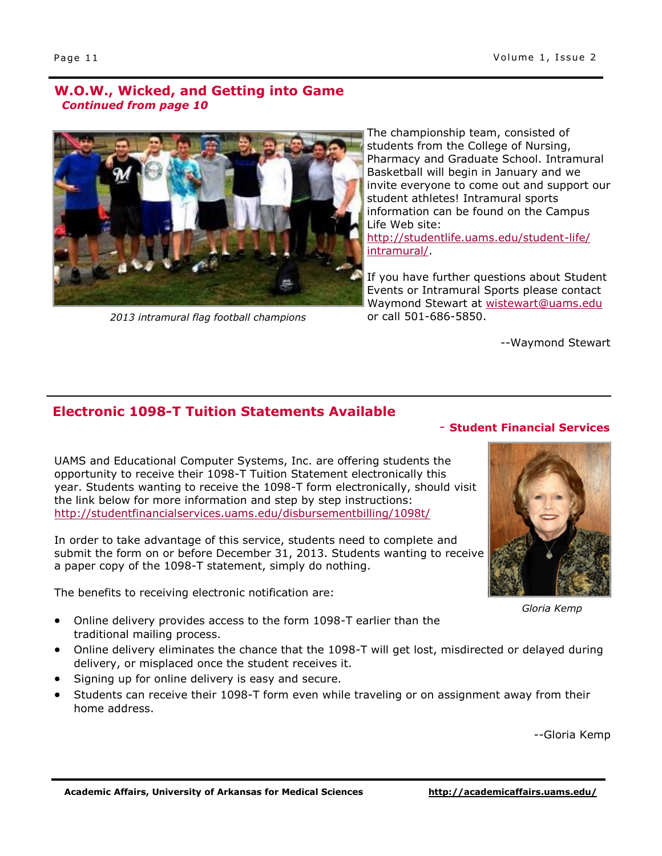## **W.O.W., Wicked, and Getting into Game**  *Continued from page 10*



*2013 intramural flag football champions*

The championship team, consisted of students from the College of Nursing, Pharmacy and Graduate School. Intramural Basketball will begin in January and we invite everyone to come out and support our student athletes! Intramural sports information can be found on the Campus Life Web site:

[http://studentlife.uams.edu/student-life/](http://studentlife.uams.edu/student-life/intramural/) [intramural/.](http://studentlife.uams.edu/student-life/intramural/)

If you have further questions about Student Events or Intramural Sports please contact Waymond Stewart at [wistewart@uams.edu](mailto:wistewart@uams.edu) or call 501-686-5850.

--Waymond Stewart

## **Electronic 1098-T Tuition Statements Available**

UAMS and Educational Computer Systems, Inc. are offering students the opportunity to receive their 1098-T Tuition Statement electronically this year. Students wanting to receive the 1098-T form electronically, should visit the link below for more information and step by step instructions: <http://studentfinancialservices.uams.edu/disbursementbilling/1098t/>

In order to take advantage of this service, students need to complete and submit the form on or before December 31, 2013. Students wanting to receive a paper copy of the 1098-T statement, simply do nothing.

The benefits to receiving electronic notification are:

- Online delivery provides access to the form 1098-T earlier than the traditional mailing process.
- Online delivery eliminates the chance that the 1098-T will get lost, misdirected or delayed during delivery, or misplaced once the student receives it.
- Signing up for online delivery is easy and secure.
- Students can receive their 1098-T form even while traveling or on assignment away from their home address.

--Gloria Kemp

#### *-* **Student Financial Services**



*Gloria Kemp*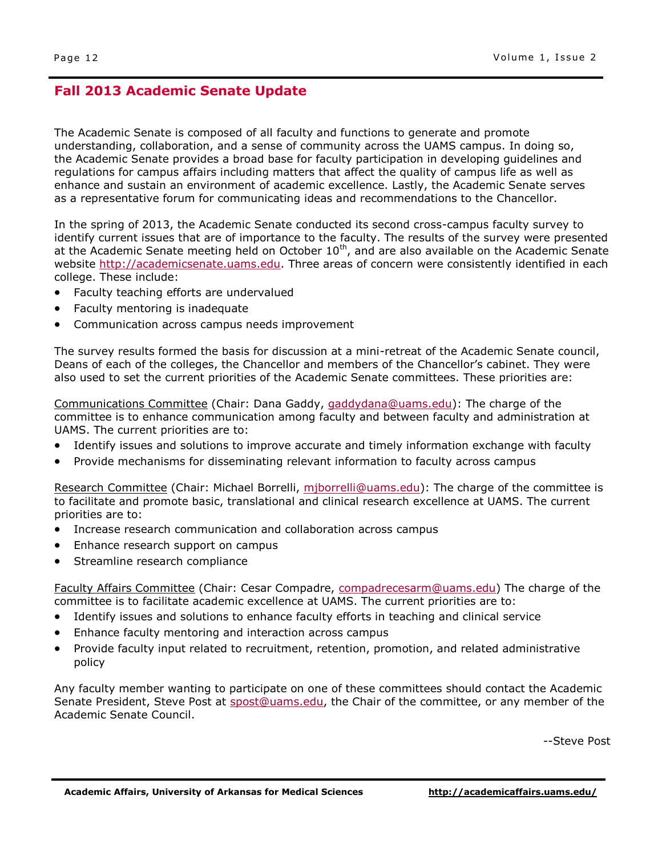## **Fall 2013 Academic Senate Update**

The Academic Senate is composed of all faculty and functions to generate and promote understanding, collaboration, and a sense of community across the UAMS campus. In doing so, the Academic Senate provides a broad base for faculty participation in developing guidelines and regulations for campus affairs including matters that affect the quality of campus life as well as enhance and sustain an environment of academic excellence. Lastly, the Academic Senate serves as a representative forum for communicating ideas and recommendations to the Chancellor.

In the spring of 2013, the Academic Senate conducted its second cross-campus faculty survey to identify current issues that are of importance to the faculty. The results of the survey were presented at the Academic Senate meeting held on October  $10^{th}$ , and are also available on the Academic Senate website [http://academicsenate.uams.edu.](http://academicsenate.uams.edu) Three areas of concern were consistently identified in each college. These include:

- Faculty teaching efforts are undervalued
- Faculty mentoring is inadequate
- Communication across campus needs improvement

The survey results formed the basis for discussion at a mini-retreat of the Academic Senate council, Deans of each of the colleges, the Chancellor and members of the Chancellor's cabinet. They were also used to set the current priorities of the Academic Senate committees. These priorities are:

Communications Committee (Chair: Dana Gaddy, [gaddydana@uams.edu\):](mailto:gaddydana@uams.edu) The charge of the committee is to enhance communication among faculty and between faculty and administration at UAMS. The current priorities are to:

- Identify issues and solutions to improve accurate and timely information exchange with faculty
- Provide mechanisms for disseminating relevant information to faculty across campus

Research Committee (Chair: Michael Borrelli, [mjborrelli@uams.edu\)](mailto:mjborrelli@uams.edu): The charge of the committee is to facilitate and promote basic, translational and clinical research excellence at UAMS. The current priorities are to:

- Increase research communication and collaboration across campus
- Enhance research support on campus
- Streamline research compliance

Faculty Affairs Committee (Chair: Cesar Compadre, [compadrecesarm@uams.edu\)](mailto:compadrecesarm@uams.edu) The charge of the committee is to facilitate academic excellence at UAMS. The current priorities are to:

- Identify issues and solutions to enhance faculty efforts in teaching and clinical service
- Enhance faculty mentoring and interaction across campus
- Provide faculty input related to recruitment, retention, promotion, and related administrative policy

Any faculty member wanting to participate on one of these committees should contact the Academic Senate President, Steve Post at [spost@uams.edu,](mailto:spost@uams.edu) the Chair of the committee, or any member of the Academic Senate Council.

--Steve Post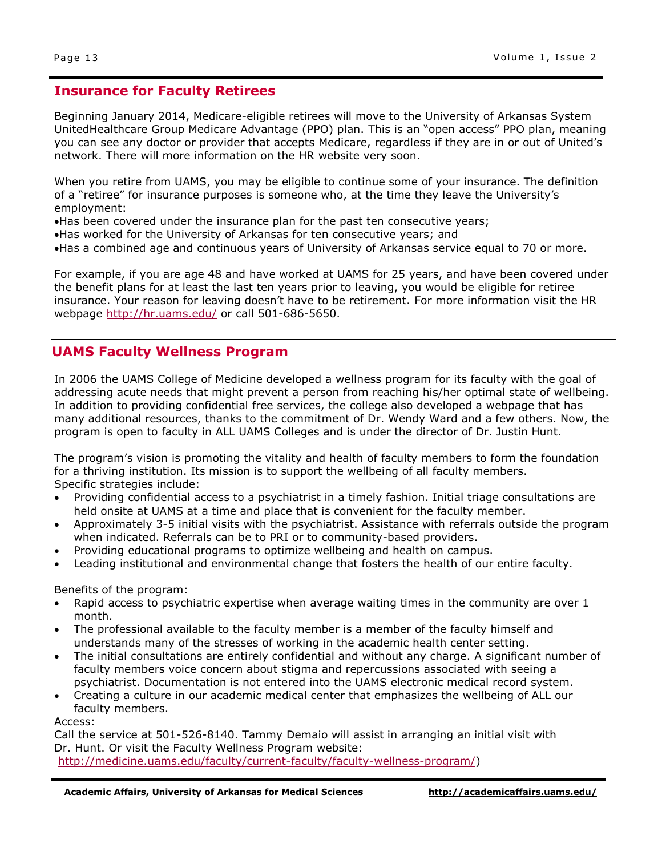## **Insurance for Faculty Retirees**

Beginning January 2014, Medicare-eligible retirees will move to the University of Arkansas System UnitedHealthcare Group Medicare Advantage (PPO) plan. This is an "open access" PPO plan, meaning you can see any doctor or provider that accepts Medicare, regardless if they are in or out of United's network. There will more information on the HR website very soon.

When you retire from UAMS, you may be eligible to continue some of your insurance. The definition of a "retiree" for insurance purposes is someone who, at the time they leave the University's employment:

Has been covered under the insurance plan for the past ten consecutive years;

Has worked for the University of Arkansas for ten consecutive years; and

Has a combined age and continuous years of University of Arkansas service equal to 70 or more.

For example, if you are age 48 and have worked at UAMS for 25 years, and have been covered under the benefit plans for at least the last ten years prior to leaving, you would be eligible for retiree insurance. Your reason for leaving doesn't have to be retirement. For more information visit the HR webpage <http://hr.uams.edu/> or call 501-686-5650.

## **UAMS Faculty Wellness Program**

In 2006 the UAMS College of Medicine developed a wellness program for its faculty with the goal of addressing acute needs that might prevent a person from reaching his/her optimal state of wellbeing. In addition to providing confidential free services, the college also developed a webpage that has many additional resources, thanks to the commitment of Dr. Wendy Ward and a few others. Now, the program is open to faculty in ALL UAMS Colleges and is under the director of Dr. Justin Hunt.

The program's vision is promoting the vitality and health of faculty members to form the foundation for a thriving institution. Its mission is to support the wellbeing of all faculty members. Specific strategies include:

- Providing confidential access to a psychiatrist in a timely fashion. Initial triage consultations are held onsite at UAMS at a time and place that is convenient for the faculty member.
- Approximately 3-5 initial visits with the psychiatrist. Assistance with referrals outside the program when indicated. Referrals can be to PRI or to community-based providers.
- Providing educational programs to optimize wellbeing and health on campus.
- Leading institutional and environmental change that fosters the health of our entire faculty.

Benefits of the program:

- Rapid access to psychiatric expertise when average waiting times in the community are over 1 month.
- The professional available to the faculty member is a member of the faculty himself and understands many of the stresses of working in the academic health center setting.
- The initial consultations are entirely confidential and without any charge. A significant number of faculty members voice concern about stigma and repercussions associated with seeing a psychiatrist. Documentation is not entered into the UAMS electronic medical record system.
- Creating a culture in our academic medical center that emphasizes the wellbeing of ALL our faculty members.

Access:

Call the service at 501-526-8140. Tammy Demaio will assist in arranging an initial visit with Dr. Hunt. Or visit the Faculty Wellness Program website: [http://medicine.uams.edu/faculty/current-faculty/faculty-wellness-program/\)](http://medicine.uams.edu/faculty/current-faculty/faculty-wellness-program/)